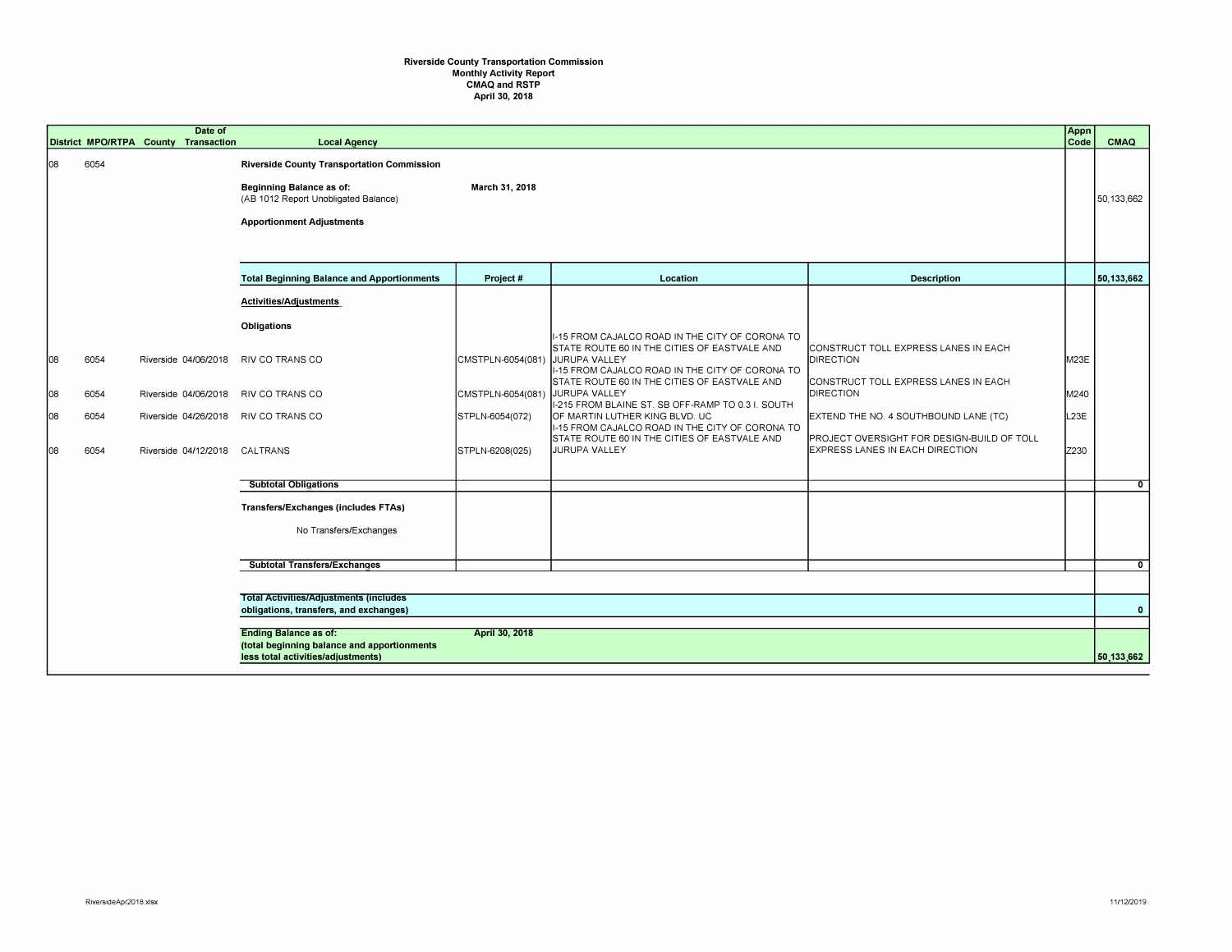## **Riverside County Transportation Commission Monthly Activity Report CMAQ and RSTP April 30, 2018**

|     |      | Date of<br>District MPO/RTPA County Transaction | <b>Local Agency</b>                                                                                                                                       |                   |                                                                                                                    |                                                                               | Appn<br>Code | CMAQ         |
|-----|------|-------------------------------------------------|-----------------------------------------------------------------------------------------------------------------------------------------------------------|-------------------|--------------------------------------------------------------------------------------------------------------------|-------------------------------------------------------------------------------|--------------|--------------|
| 108 | 6054 |                                                 | <b>Riverside County Transportation Commission</b><br>Beginning Balance as of:<br>(AB 1012 Report Unobligated Balance)<br><b>Apportionment Adjustments</b> | March 31, 2018    |                                                                                                                    |                                                                               |              | 50,133,662   |
|     |      |                                                 | <b>Total Beginning Balance and Apportionments</b>                                                                                                         | Project #         | Location                                                                                                           | <b>Description</b>                                                            |              | 50,133,662   |
|     |      |                                                 | Activities/Adjustments                                                                                                                                    |                   |                                                                                                                    |                                                                               |              |              |
|     |      |                                                 | Obligations                                                                                                                                               |                   | I-15 FROM CAJALCO ROAD IN THE CITY OF CORONA TO                                                                    |                                                                               |              |              |
| 08  | 6054 | Riverside 04/06/2018                            | RIV CO TRANS CO                                                                                                                                           | CMSTPLN-6054(081) | STATE ROUTE 60 IN THE CITIES OF EASTVALE AND<br>JURUPA VALLEY<br>I-15 FROM CAJALCO ROAD IN THE CITY OF CORONA TO   | CONSTRUCT TOLL EXPRESS LANES IN EACH<br><b>DIRECTION</b>                      | M23E         |              |
| 08  | 6054 | Riverside 04/06/2018                            | RIV CO TRANS CO                                                                                                                                           | CMSTPLN-6054(081) | STATE ROUTE 60 IN THE CITIES OF EASTVALE AND<br>JURUPA VALLEY<br>I-215 FROM BLAINE ST. SB OFF-RAMP TO 0.3 I. SOUTH | CONSTRUCT TOLL EXPRESS LANES IN EACH<br><b>DIRECTION</b>                      | M240         |              |
| 108 | 6054 | Riverside 04/26/2018                            | RIV CO TRANS CO                                                                                                                                           | STPLN-6054(072)   | OF MARTIN LUTHER KING BLVD. UC<br>I-15 FROM CAJALCO ROAD IN THE CITY OF CORONA TO                                  | EXTEND THE NO. 4 SOUTHBOUND LANE (TC)                                         | L23E         |              |
| 08  | 6054 | Riverside 04/12/2018 CALTRANS                   |                                                                                                                                                           | STPLN-6208(025)   | STATE ROUTE 60 IN THE CITIES OF EASTVALE AND<br>JURUPA VALLEY                                                      | PROJECT OVERSIGHT FOR DESIGN-BUILD OF TOLL<br>EXPRESS LANES IN EACH DIRECTION | Z230         |              |
|     |      |                                                 | <b>Subtotal Obligations</b>                                                                                                                               |                   |                                                                                                                    |                                                                               |              | $\mathbf{0}$ |
|     |      |                                                 | <b>Transfers/Exchanges (includes FTAs)</b>                                                                                                                |                   |                                                                                                                    |                                                                               |              |              |
|     |      |                                                 | No Transfers/Exchanges                                                                                                                                    |                   |                                                                                                                    |                                                                               |              |              |
|     |      |                                                 | <b>Subtotal Transfers/Exchanges</b>                                                                                                                       |                   |                                                                                                                    |                                                                               |              | $\mathbf{0}$ |
|     |      |                                                 | <b>Total Activities/Adjustments (includes)</b>                                                                                                            |                   |                                                                                                                    |                                                                               |              |              |
|     |      |                                                 | obligations, transfers, and exchanges)                                                                                                                    |                   |                                                                                                                    |                                                                               |              | $\mathbf{0}$ |
|     |      |                                                 | <b>Ending Balance as of:</b><br>(total beginning balance and apportionments<br>less total activities/adjustments)                                         | April 30, 2018    |                                                                                                                    |                                                                               |              | 50,133,662   |